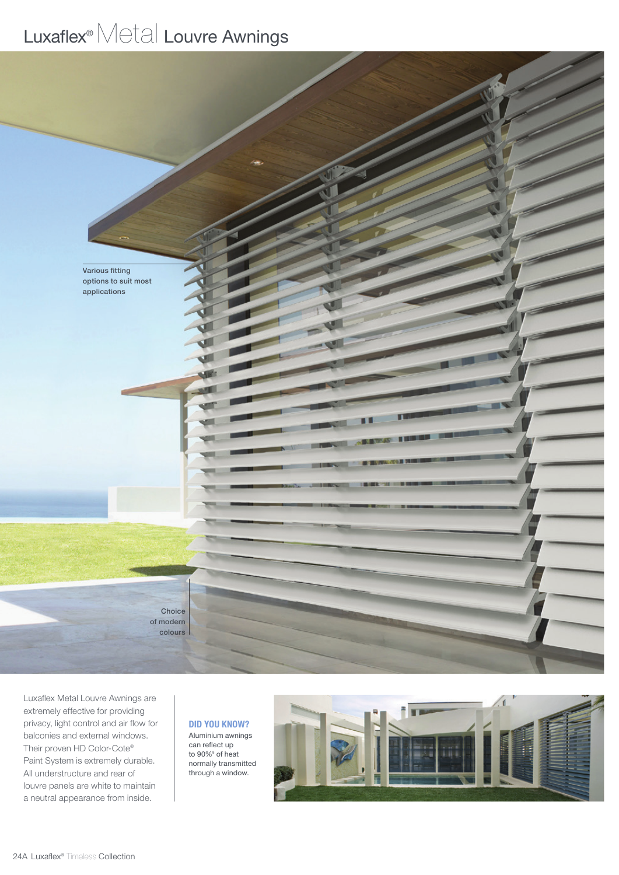## Luxaflex<sup>®</sup> Metal Louvre Awnings



Luxaflex Metal Louvre Awnings are extremely effective for providing privacy, light control and air flow for balconies and external windows. Their proven HD Color-Cote® Paint System is extremely durable. All understructure and rear of louvre panels are white to maintain a neutral appearance from inside.

## DID YOU KNOW? Aluminium awnings

can reflect up to 90%ª of heat normally transmitted through a window.